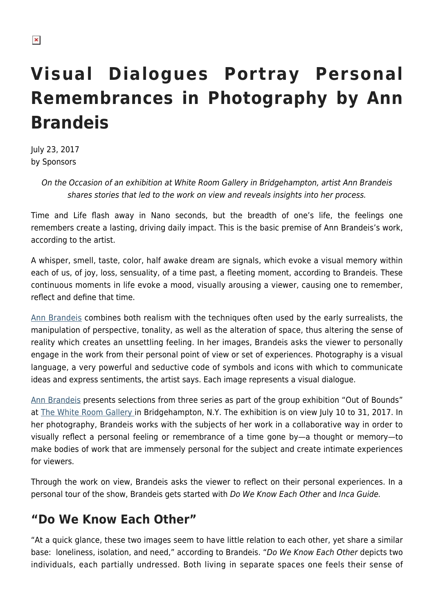# **Visual Dialogues Portray Personal Remembrances in Photography by Ann Brandeis**

July 23, 2017 by Sponsors

> On the Occasion of an exhibition at White Room Gallery in Bridgehampton, artist Ann Brandeis shares stories that led to the work on view and reveals insights into her process.

Time and Life flash away in Nano seconds, but the breadth of one's life, the feelings one remembers create a lasting, driving daily impact. This is the basic premise of Ann Brandeis's work, according to the artist.

A whisper, smell, taste, color, half awake dream are signals, which evoke a visual memory within each of us, of joy, loss, sensuality, of a time past, a fleeting moment, according to Brandeis. These continuous moments in life evoke a mood, visually arousing a viewer, causing one to remember, reflect and define that time.

[Ann Brandeis](http://annbrandeis.com/) combines both realism with the techniques often used by the early surrealists, the manipulation of perspective, tonality, as well as the alteration of space, thus altering the sense of reality which creates an unsettling feeling. In her images, Brandeis asks the viewer to personally engage in the work from their personal point of view or set of experiences. Photography is a visual language, a very powerful and seductive code of symbols and icons with which to communicate ideas and express sentiments, the artist says. Each image represents a visual dialogue.

[Ann Brandeis](https://hamptonsarthub.com/directory/artists/hamptons-east-end/ann-brandeis/) presents selections from three series as part of the group exhibition "Out of Bounds" at [The White Room Gallery i](https://hamptonsarthub.com/gallery-guide/the-white-room-gallery/)n Bridgehampton, N.Y. The exhibition is on view July 10 to 31, 2017. In her photography, Brandeis works with the subjects of her work in a collaborative way in order to visually reflect a personal feeling or remembrance of a time gone by—a thought or memory—to make bodies of work that are immensely personal for the subject and create intimate experiences for viewers.

Through the work on view, Brandeis asks the viewer to reflect on their personal experiences. In a personal tour of the show, Brandeis gets started with Do We Know Each Other and Inca Guide.

# **"Do We Know Each Other"**

"At a quick glance, these two images seem to have little relation to each other, yet share a similar base: loneliness, isolation, and need," according to Brandeis. "Do We Know Each Other depicts two individuals, each partially undressed. Both living in separate spaces one feels their sense of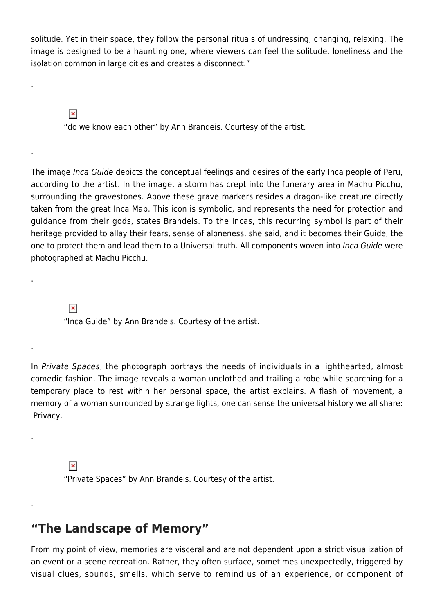solitude. Yet in their space, they follow the personal rituals of undressing, changing, relaxing. The image is designed to be a haunting one, where viewers can feel the solitude, loneliness and the isolation common in large cities and creates a disconnect."

 $\pmb{\times}$ 

.

.

.

.

.

.

"do we know each other" by Ann Brandeis. Courtesy of the artist.

The image Inca Guide depicts the conceptual feelings and desires of the early Inca people of Peru, according to the artist. In the image, a storm has crept into the funerary area in Machu Picchu, surrounding the gravestones. Above these grave markers resides a dragon-like creature directly taken from the great Inca Map. This icon is symbolic, and represents the need for protection and guidance from their gods, states Brandeis. To the Incas, this recurring symbol is part of their heritage provided to allay their fears, sense of aloneness, she said, and it becomes their Guide, the one to protect them and lead them to a Universal truth. All components woven into Inca Guide were photographed at Machu Picchu.

 $\pmb{\times}$ 

"Inca Guide" by Ann Brandeis. Courtesy of the artist.

In Private Spaces, the photograph portrays the needs of individuals in a lighthearted, almost comedic fashion. The image reveals a woman unclothed and trailing a robe while searching for a temporary place to rest within her personal space, the artist explains. A flash of movement, a memory of a woman surrounded by strange lights, one can sense the universal history we all share: Privacy.

 $\pmb{\times}$ "Private Spaces" by Ann Brandeis. Courtesy of the artist.

#### **"The Landscape of Memory"**

From my point of view, memories are visceral and are not dependent upon a strict visualization of an event or a scene recreation. Rather, they often surface, sometimes unexpectedly, triggered by visual clues, sounds, smells, which serve to remind us of an experience, or component of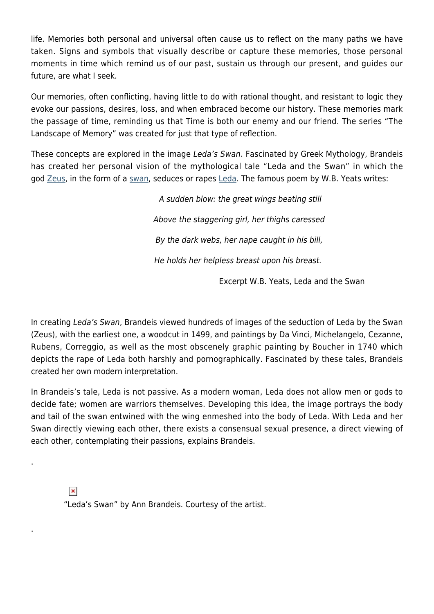life. Memories both personal and universal often cause us to reflect on the many paths we have taken. Signs and symbols that visually describe or capture these memories, those personal moments in time which remind us of our past, sustain us through our present, and guides our future, are what I seek.

Our memories, often conflicting, having little to do with rational thought, and resistant to logic they evoke our passions, desires, loss, and when embraced become our history. These memories mark the passage of time, reminding us that Time is both our enemy and our friend. The series "The Landscape of Memory" was created for just that type of reflection.

These concepts are explored in the image Leda's Swan. Fascinated by Greek Mythology, Brandeis has created her personal vision of the mythological tale "Leda and the Swan" in which the god [Zeus,](https://en.wikipedia.org/wiki/Zeus) in the form of a [swan,](https://en.wikipedia.org/wiki/Swan) seduces or rapes [Leda.](https://en.wikipedia.org/wiki/Leda_(mythology)) The famous poem by W.B. Yeats writes:

> A sudden blow: the great wings beating still Above the staggering girl, her thighs caressed By the dark webs, her nape caught in his bill, He holds her helpless breast upon his breast.

> > Excerpt W.B. Yeats, Leda and the Swan

In creating Leda's Swan, Brandeis viewed hundreds of images of the seduction of Leda by the Swan (Zeus), with the earliest one, a woodcut in 1499, and paintings by Da Vinci, Michelangelo, Cezanne, Rubens, Correggio, as well as the most obscenely graphic painting by Boucher in 1740 which depicts the rape of Leda both harshly and pornographically. Fascinated by these tales, Brandeis created her own modern interpretation.

In Brandeis's tale, Leda is not passive. As a modern woman, Leda does not allow men or gods to decide fate; women are warriors themselves. Developing this idea, the image portrays the body and tail of the swan entwined with the wing enmeshed into the body of Leda. With Leda and her Swan directly viewing each other, there exists a consensual sexual presence, a direct viewing of each other, contemplating their passions, explains Brandeis.

 $\pmb{\times}$ 

.

.

"Leda's Swan" by Ann Brandeis. Courtesy of the artist.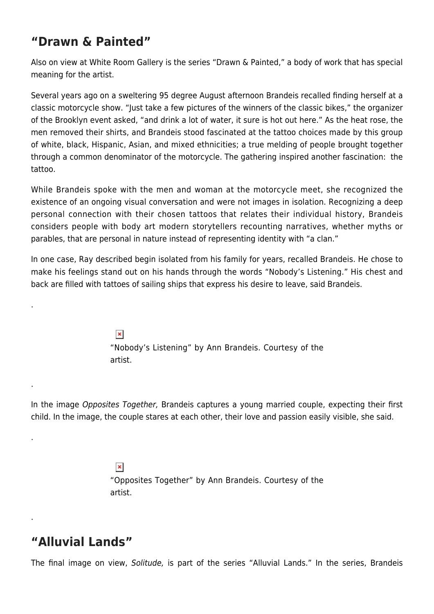# **"Drawn & Painted"**

Also on view at White Room Gallery is the series "Drawn & Painted," a body of work that has special meaning for the artist.

Several years ago on a sweltering 95 degree August afternoon Brandeis recalled finding herself at a classic motorcycle show. "Just take a few pictures of the winners of the classic bikes," the organizer of the Brooklyn event asked, "and drink a lot of water, it sure is hot out here." As the heat rose, the men removed their shirts, and Brandeis stood fascinated at the tattoo choices made by this group of white, black, Hispanic, Asian, and mixed ethnicities; a true melding of people brought together through a common denominator of the motorcycle. The gathering inspired another fascination: the tattoo.

While Brandeis spoke with the men and woman at the motorcycle meet, she recognized the existence of an ongoing visual conversation and were not images in isolation. Recognizing a deep personal connection with their chosen tattoos that relates their individual history, Brandeis considers people with body art modern storytellers recounting narratives, whether myths or parables, that are personal in nature instead of representing identity with "a clan."

In one case, Ray described begin isolated from his family for years, recalled Brandeis. He chose to make his feelings stand out on his hands through the words "Nobody's Listening." His chest and back are filled with tattoes of sailing ships that express his desire to leave, said Brandeis.

> $\pmb{\times}$ "Nobody's Listening" by Ann Brandeis. Courtesy of the artist.

In the image Opposites Together, Brandeis captures a young married couple, expecting their first child. In the image, the couple stares at each other, their love and passion easily visible, she said.

> $\pmb{\times}$ "Opposites Together" by Ann Brandeis. Courtesy of the artist.

# **"Alluvial Lands"**

.

.

.

.

The final image on view, Solitude, is part of the series "Alluvial Lands." In the series, Brandeis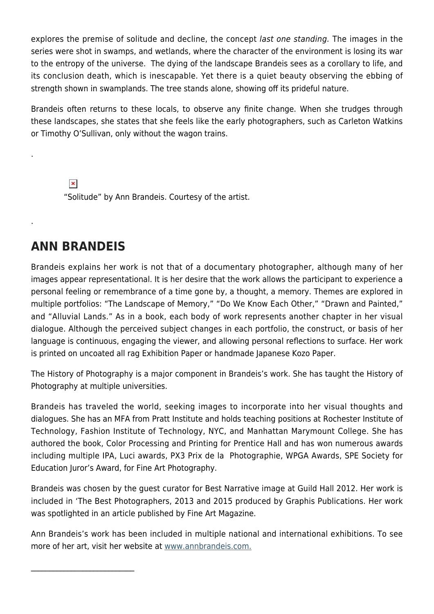explores the premise of solitude and decline, the concept last one standing. The images in the series were shot in swamps, and wetlands, where the character of the environment is losing its war to the entropy of the universe. The dying of the landscape Brandeis sees as a corollary to life, and its conclusion death, which is inescapable. Yet there is a quiet beauty observing the ebbing of strength shown in swamplands. The tree stands alone, showing off its prideful nature.

Brandeis often returns to these locals, to observe any finite change. When she trudges through these landscapes, she states that she feels like the early photographers, such as Carleton Watkins or Timothy O'Sullivan, only without the wagon trains.

 $\pmb{\times}$ "Solitude" by Ann Brandeis. Courtesy of the artist.

#### **ANN BRANDEIS**

.

.

Brandeis explains her work is not that of a documentary photographer, although many of her images appear representational. It is her desire that the work allows the participant to experience a personal feeling or remembrance of a time gone by, a thought, a memory. Themes are explored in multiple portfolios: "The Landscape of Memory," "Do We Know Each Other," "Drawn and Painted," and "Alluvial Lands." As in a book, each body of work represents another chapter in her visual dialogue. Although the perceived subject changes in each portfolio, the construct, or basis of her language is continuous, engaging the viewer, and allowing personal reflections to surface. Her work is printed on uncoated all rag Exhibition Paper or handmade Japanese Kozo Paper.

The History of Photography is a major component in Brandeis's work. She has taught the History of Photography at multiple universities.

Brandeis has traveled the world, seeking images to incorporate into her visual thoughts and dialogues. She has an MFA from Pratt Institute and holds teaching positions at Rochester Institute of Technology, Fashion Institute of Technology, NYC, and Manhattan Marymount College. She has authored the book, Color Processing and Printing for Prentice Hall and has won numerous awards including multiple IPA, Luci awards, PX3 Prix de la Photographie, WPGA Awards, SPE Society for Education Juror's Award, for Fine Art Photography.

Brandeis was chosen by the guest curator for Best Narrative image at Guild Hall 2012. Her work is included in 'The Best Photographers, 2013 and 2015 produced by Graphis Publications. Her work was spotlighted in an article published by Fine Art Magazine.

Ann Brandeis's work has been included in multiple national and international exhibitions. To see more of her art, visit her website at [www.annbrandeis.com.](http://annbrandeis.com/)

\_\_\_\_\_\_\_\_\_\_\_\_\_\_\_\_\_\_\_\_\_\_\_\_\_\_\_\_